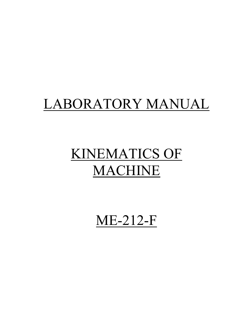# LABORATORY MANUAL

# KINEMATICS OF MACHINE

ME-212-F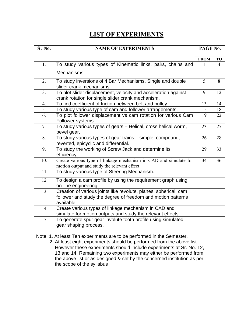# **LIST OF EXPERIMENTS**

| S.No.            | <b>NAME OF EXPERIMENTS</b>                                                                                                                     |             |           |  |  |
|------------------|------------------------------------------------------------------------------------------------------------------------------------------------|-------------|-----------|--|--|
|                  |                                                                                                                                                | <b>FROM</b> | <b>TO</b> |  |  |
| 1.               | To study various types of Kinematic links, pairs, chains and                                                                                   | 1           | 4         |  |  |
|                  | <b>Mechanisms</b>                                                                                                                              |             |           |  |  |
| 2.               | To study inversions of 4 Bar Mechanisms, Single and double<br>slider crank mechanisms.                                                         | 5           | 8         |  |  |
| 3 <sub>1</sub>   | To plot slider displacement, velocity and acceleration against<br>crank rotation for single slider crank mechanism.                            | 9           | 12        |  |  |
| 4.               | To find coefficient of friction between belt and pulley.                                                                                       | 13          | 14        |  |  |
| $\overline{5}$ . | To study various type of cam and follower arrangements.                                                                                        | 15          | 18        |  |  |
| 6.               | To plot follower displacement vs cam rotation for various Cam<br>Follower systems                                                              | 19          | 22        |  |  |
| 7.               | To study various types of gears - Helical, cross helical worm,<br>bevel gear.                                                                  | 23          | 25        |  |  |
| 8.               | To study various types of gear trains - simple, compound,<br>reverted, epicyclic and differential.                                             | 26          | 28        |  |  |
| 9.               | To study the working of Screw Jack and determine its<br>efficiency.                                                                            | 29          | 33        |  |  |
| 10.              | Create various type of linkage mechanism in CAD and simulate for<br>motion output and study the relevant effect.                               | 34          | 36        |  |  |
| 11               | To study various type of Steering Mechanism.                                                                                                   |             |           |  |  |
| 12               | To design a cam profile by using the requirement graph using<br>on-line engineering                                                            |             |           |  |  |
| 13               | Creation of various joints like revolute, planes, spherical, cam<br>follower and study the degree of freedom and motion patterns<br>available. |             |           |  |  |
| 14               | Create various types of linkage mechanism in CAD and<br>simulate for motion outputs and study the relevant effects.                            |             |           |  |  |
| 15               | To generate spur gear involute tooth profile using simulated<br>gear shaping process.                                                          |             |           |  |  |

Note: 1. At least Ten experiments are to be performed in the Semester.

 2. At least eight experiments should be performed from the above list. However these experiments should include experiments at Sr. No. 12, 13 and 14. Remaining two experiments may either be performed from the above list or as designed & set by the concerned institution as per the scope of the syllabus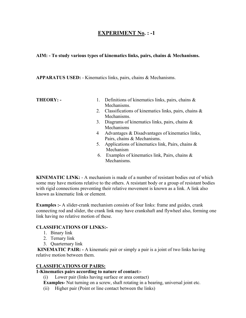# **EXPERIMENT No. : -1**

#### **AIM: - To study various types of kinematics links, pairs, chains & Mechanisms.**

#### **APPARATUS USED:** - Kinematics links, pairs, chains & Mechanisms.

- **THEORY: 1.** Definitions of kinematics links, pairs, chains & Mechanisms.
	- 2. Classifications of kinematics links, pairs, chains & Mechanisms.
	- 3. Diagrams of kinematics links, pairs, chains & Mechanisms
	- 4 Advantages & Disadvantages of kinematics links, Pairs, chains & Mechanisms.
	- 5. Applications of kinematics link, Pairs, chains & Mechanism
	- 6. Examples of kinematics link, Pairs, chains & Mechanisms.

**KINEMATIC LINK:** - A mechanism is made of a number of resistant bodies out of which some may have motions relative to the others. A resistant body or a group of resistant bodies with rigid connections preventing their relative movement is known as a link. A link also known as kinematic link or element.

**Examples :-** A slider-crank mechanism consists of four links: frame and guides, crank connecting rod and slider, the crank link may have crankshaft and flywheel also, forming one link having no relative motion of these.

#### **CLASSIFICATIONS OF LINKS:-**

- 1. Binary link
- 2. Ternary link
- 3. Quarternary link

**KINEMATIC PAIR:** - A kinematic pair or simply a pair is a joint of two links having relative motion between them.

#### **CLASSIFICATIONS OF PAIRS:**

#### **1-Kinematics pairs according to nature of contact:-**

(i) Lower pair (links having surface or area contact)

- **Examples-** Nut turning on a screw, shaft rotating in a bearing, universal joint etc.
- (ii) Higher pair (Point or line contact between the links)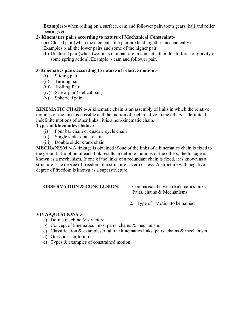**Examples:-** when rolling on a surface, cam and follower pair, tooth gears, ball and roller bearings etc.

#### **2- Kinematics pairs according to nature of Mechanical Constraint:-**

(a) Closed pair (when the elements of a pair are held together mechanically)

Examples :- all the lower pairs and some of the higher pair

(b) Unclosed pair (when two links of a pair are in contact either due to force of gravity or some spring action), Example :- cam and follower pair.

#### **3-Kinematics pairs according to nature of relative motion:-**

- (i) Sliding pair
- (ii) Turning pair
- (iii) Rolling Pair
- (iv) Screw pair (Helical pair)
- (v) Spherical pair

**KINEMATIC CHAIN :-** A kinematic chain is an assembly of links in which the relative motions of the links is possible and the motion of each relative to the others is definite. If indefinite motions of other links , it is a non-kinematic chain.

#### **Types of kinematics chains :-**

- (i) Four bar chain or quadric cycle chain
- (ii) Single slider crank chain
- (iii) Double slider crank chain

**MECHANISM :-** A linkage is obtained if one of the links of a kinematics chain is fixed to the ground. If motion of each link results in definite motions of the others, the linkage is known as a mechanism. If one of the links of a redundant chain is fixed, it is known as a structure. The degree of freedom of a structure is zero or less. A structure with negative degree of freedom is known as a superstructure.

# **OBSERVATION & CONCLUSION:-** 1. Comparison between kinematics links,

Pairs, chains & Mechanisms.

2. Type of Motion to be named.

- a) Define machine & structure.
- b) Concept of kinematics links, pairs, chains & mechanism.
- c) Classification & examples of all the kinematics links, pairs, chains & mechanism.
- d) Grasshof's criterion.
- e) Types & examples of constrained motion.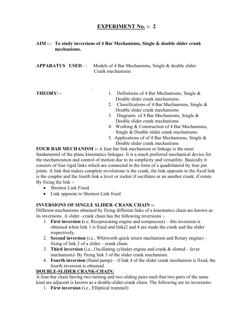# **EXPERIMENT No. :- 2**

#### **AIM : - To study inversions of 4 Bar Mechanisms, Single & double slider crank mechanisms.**

**APPARATUS USED** : - Models of 4 Bar Mechanisms, Single & double slider Crank mechanisms

. .

- **THEORY: 1.** Definitions of 4 Bar Mechanisms, Single & Double slider crank mechanisms.
	- 2. Classifications of 4 Bar Mechanisms, Single & Double slider crank mechanisms
	- 3. Diagrams of 4 Bar Mechanisms, Single & Double slider crank mechanisms
	- 4. Working & Construction of 4 Bar Mechanisms, Single & Double slider crank mechanisms.
	- 5. Applications of of 4 Bar Mechanisms, Single  $\&$ Double slider crank mechanisms

**FOUR BAR MECHANISM :-** A four bar link mechanism or linkage is the most fundamental of the plane kinematics linkages. It is a much preferred mechanical device for the mechanization and control of motion due to its simplicity and versatility. Basically it consists of four rigid links which are connected in the form of a quadrilateral by four pin joints. A link that makes complete revolutions is the crank, the link opposite to the fixed link is the coupler and the fourth link a lever or rocker if oscillates or an another crank, if rotate. By fixing the link :-

- Shortest Link Fixed
- Link opposite to Shortest Link fixed

#### **INVERSIONS OF SINGLE SLIDER–CRANK CHAIN :-**

Different mechanisms obtained by fixing different links of a kinematics chain are known as its inversions. A slider –crank chain has the following inversions :-

- 1. **First inversion (**i.e; Reciprocating engine and compressor) this inversion is obtained when link 1 is fixed and links2 and 4 are made the crank and the slider respectively.
- 2. **Second inversion** (i.e., Whitworth quick return mechanism and Rotary engine) fixing of link 2 of a slider – crank chain.
- 3. **Third inversion** (i.e., Oscillating cylinder engine and crank & slotted lever mechanism)- By fixing link 3 of the slider crank mechanism.
- 4. **Fourth inversion** (Hand pump) if link 4 of the slider crank mechanism is fixed, the fourth inversion is obtained.

## **DOUBLE-SLIDER CRANK-CHAIN:**

A four-bar chain having two turning and two sliding pairs such that two pairs of the same kind are adjacent is known as a double-slider-crank chain. The following are its inversions:

1. **First inversion** (i.e., Elliptical trammel)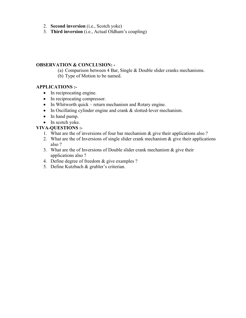- 2. **Second inversion** (i.e., Scotch yoke)
- 3. **Third inversion** (i.e., Actual Oldham's coupling)

#### **OBSERVATION & CONCLUSION: -**

(a) Comparison between 4 Bar, Single & Double slider cranks mechanisms.

(b) Type of Motion to be named.

#### **APPLICATIONS :-**

- In reciprocating engine.
- In reciprocating compressor.
- In Whitworth quick return mechanism and Rotary engine.
- In Oscillating cylinder engine and crank & slotted-lever mechanism.
- In hand pump.
- In scotch yoke.

- 1. What are the of inversions of four bar mechanism & give their applications also ?
- 2. What are the of Inversions of single slider crank mechanism & give their applications also ?
- 3. What are the of Inversions of Double slider crank mechanism  $\&$  give their applications also ?
- 4. Define degree of freedom & give examples ?
- 5. Define Kutzbach & grubler's criterian.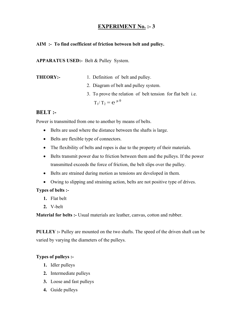# **EXPERIMENT No. :- 3**

#### **AIM :- To find coefficient of friction between belt and pulley.**

**APPARATUS USED:-** Belt & Pulley System.

- **THEORY:-** 1. Definition of belt and pulley.
	- 2. Diagram of belt and pulley system.
	- 3. To prove the relation of belt tension for flat belt i.e.  $T_1/T_2 = e^{\mu \theta}$

# **BELT :-**

Power is transmitted from one to another by means of belts.

- Belts are used where the distance between the shafts is large.
- Belts are flexible type of connectors.
- The flexibility of belts and ropes is due to the property of their materials.
- Belts transmit power due to friction between them and the pulleys. If the power transmitted exceeds the force of friction, the belt slips over the pulley.
- Belts are strained during motion as tensions are developed in them.
- Owing to slipping and straining action, belts are not positive type of drives.

#### **Types of belts :-**

- **1.** Flat belt
- **2.** V-belt

**Material for belts :-** Usual materials are leather, canvas, cotton and rubber.

**PULLEY :-** Pulley are mounted on the two shafts. The speed of the driven shaft can be varied by varying the diameters of the pulleys.

## **Types of pulleys :-**

- **1.** Idler pulleys
- **2.** Intermediate pulleys
- **3.** Loose and fast pulleys
- **4.** Guide pulleys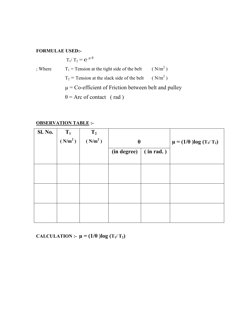#### **FORMULAE USED:-**

 $T_1/T_2 = e^{\mu \theta}$ 

; Where  $T_1$  = Tension at the tight side of the belt  $(N/m<sup>2</sup>)$  $T_2$  = Tension at the slack side of the belt  $(N/m<sup>2</sup>)$  $\mu$  = Co-efficient of Friction between belt and pulley  $\theta$  = Arc of contact (rad)

#### **OBSERVATION TABLE :-**

| <b>Sl. No.</b> | $T_1$               | T <sub>2</sub>      |                          |  |                                   |
|----------------|---------------------|---------------------|--------------------------|--|-----------------------------------|
|                | (N/m <sup>2</sup> ) | (N/m <sup>2</sup> ) | $\theta$                 |  | $\mu = (1/\theta) \log (T_1/T_2)$ |
|                |                     |                     | (in rad.)<br>(in degree) |  |                                   |
|                |                     |                     |                          |  |                                   |
|                |                     |                     |                          |  |                                   |
|                |                     |                     |                          |  |                                   |
|                |                     |                     |                          |  |                                   |
|                |                     |                     |                          |  |                                   |
|                |                     |                     |                          |  |                                   |
|                |                     |                     |                          |  |                                   |
|                |                     |                     |                          |  |                                   |

**CALCULATION :-**  $\mu = (1/\theta) \log (T_1/T_2)$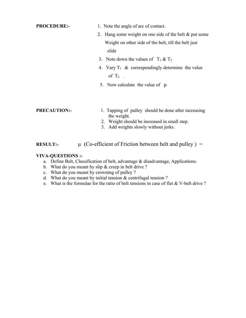- **PROCEDURE:-** 1. Note the angle of arc of contact.
	- 2. Hang some weight on one side of the belt & put some Weight on other side of the belt, till the belt just slide
	- 3. Note down the values of  $T_1 \& T_2$
	- 4. Vary  $T_1 \&$  correspondingly determine the value of  $T_2$
	- 5. Now calculate the value of  $\mu$

- **PRECAUTION:-** 1. Tapping of pulley should be done after increasing the weight.
	- 2. Weight should be increased in small step.
	- 3. Add weights slowly without jerks.

# **RESULT:**-  $\mu$  (Co-efficient of Friction between belt and pulley) =

- a. Define Belt, Classification of belt, advantage & disadvantage, Applications.
- b. What do you meant by slip & creep in belt drive ?
- c. What do you meant by crowning of pulley ?
- d. What do you meant by initial tension & centrifugal tension ?
- e. What is the formulae for the ratio of belt tensions in case of flat & V-belt drive ?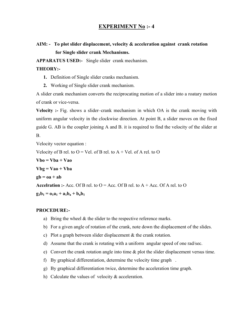## **EXPERIMENT No :- 4**

# **AIM: - To plot slider displacement, velocity & acceleration against crank rotation for Single slider crank Mechanisms.**

**APPARATUS USED:-** Single slider crank mechanism.

#### **THEORY:-**

- **1.** Definition of Single slider cranks mechanism.
- **2.** Working of Single slider crank mechanism.

A slider crank mechanism converts the reciprocating motion of a slider into a roatary motion of crank or vice-versa.

**Velocity :-** Fig. shows a slider–crank mechanism in which OA is the crank moving with uniform angular velocity in the clockwise direction. At point B, a slider moves on the fixed guide G. AB is the coupler joining A and B. it is required to find the velocity of the slider at B.

Velocity vector equation : Velocity of B rel. to  $O =$  Vel. of B rel. to  $A +$  Vel. of A rel. to  $O$  $Vbo = Vba + Vao$  $Vbg = Vao + Vba$  $gb = oa + ab$ **Accelration :-** Acc. Of B rel. to  $O = Acc$ . Of B rel. to  $A + Acc$ . Of A rel. to  $O$  $g_1b_1 = o_1a_1 + a_1b_2 + b_2b_1$ 

#### **PROCEDURE:-**

- a) Bring the wheel  $&$  the slider to the respective reference marks.
- b) For a given angle of rotation of the crank, note down the displacement of the slides.
- c) Plot a graph between slider displacement & the crank rotation.
- d) Assume that the crank is rotating with a uniform angular speed of one rad/sec.
- e) Convert the crank rotation angle into time & plot the slider displacement versus time.
- f) By graphical differentiation, determine the velocity time graph .
- g) By graphical differentiation twice, determine the acceleration time graph.
- h) Calculate the values of velocity & acceleration.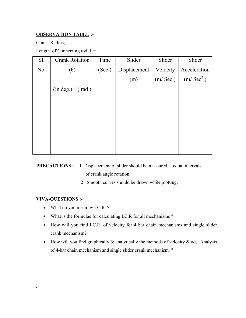## **OBSERVATION TABLE :-**

Crank Radius,  $r =$ 

Length of Connecting rod,  $l =$ 

| Sl. | <b>Crank Rotation</b> |                | Time   | Slider       | Slider   | Slider                |
|-----|-----------------------|----------------|--------|--------------|----------|-----------------------|
| No. | $(\theta)$            |                | (Sec.) | Displacement | Velocity | Acceleration          |
|     |                       |                |        | (m)          | (m/Sec.) | (m/Sec <sup>2</sup> ) |
|     | (in deg.)             | $(\text{rad})$ |        |              |          |                       |
|     |                       |                |        |              |          |                       |
|     |                       |                |        |              |          |                       |
|     |                       |                |        |              |          |                       |
|     |                       |                |        |              |          |                       |
|     |                       |                |        |              |          |                       |
|     |                       |                |        |              |          |                       |

# **PRECAUTIONS:-** 1 Displacement of slider should be measured at equal intervals of crank angle rotation.

2 Smooth curves should be drawn while plotting.

#### **VIVA-QUESTIONS :-**

**.** 

- What do you mean by I.C.R.?
- What is the formulae for calculating I.C.R for all mechanisms ?
- How will you find I.C.R. of velocity for 4 bar chain mechanisms and single slider crank mechanism?
- How will you find graphically  $\&$  analytically the methods of velocity  $\&$  acc. Analysis of 4-bar chain mechanism and single slider crank mechanism. ?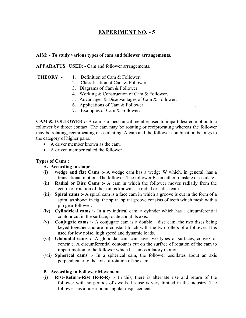# **EXPERIMENT NO. - 5**

#### **AIM: - To study various types of cam and follower arrangements.**

**APPARATUS USED**: - Cam and follower arrangements.

- **THEORY:** 1. Definition of Cam & Follower.
	- 2. Classification of Cam & Follower.
	- 3. Diagrams of Cam & Follower.
	- 4. Working & Construction of Cam & Follower.
	- 5. Advantages & Disadvantages of Cam & Follower.
	- 6. Applications of Cam & Follower. .
	- 7. Examples of Cam & Follower.

**CAM & FOLLOWER :-** A cam is a mechanical member used to impart desired motion to a follower by direct contact. The cam may be rotating or reciprocating whereas the follower may be rotating, reciprocating or oscillating. A cam and the follower combination belongs to the category of higher pairs.

- A driver member known as the cam.
- A driven member called the follower

#### **Types of Cams :**

#### **A. According to shape**

- **(i) wedge and flat Cams :-** A wedge cam has a wedge W which, in general, has a translational motion. The follower. The follower F can either translate or oscilate.
- **(ii) Radial or Disc Cams :-** A cam in which the follower moves radially from the centre of rotation of the cam is known as a radial or a disc cam.
- **(iii) Spiral cams :** A spiral cam is a face cam in which a groove is cut in the form of a spiral as shown in fig. the spiral spiral groove consists of teeth which mesh with a pin gear follower.
- **(iv) Cylindrical cams :** In a cylindrical cam, a cylinder which has a circumferential contour cut in the surface, rotate about its axis.
- **(v) Conjugate cams :** A conjugate cam is a double disc cam, the two discs being keyed together and are in constant touch with the two rollers of a follower. It is used for low noise, high speed and dynamic loads.
- **(vi) Globoidal cams :** A globoidal cam can have two types of surfaces, convex or concave. A circumferential contour is cut on the surface of rotation of the cam to impart motion to the follower which has an oscillatory motion.
- **(vii) Spherical cams :** In a spherical cam, the follower oscillates about an axis perpendicular to the axis of rotation of the cam.

#### **B. According to Follower Movement**

**(i) Rise-Return-Rise (R-R-R) :-** In this, there is alternate rise and return of the follower with no periods of dwells. Its use is very limited in the industry. The follower has a linear or an angular displacement.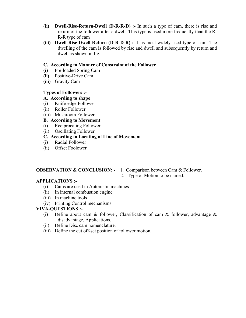- **(ii) Dwell-Rise-Return-Dwell (D-R-R-D) :-** In such a type of cam, there is rise and return of the follower after a dwell. This type is used more frequently than the R-R-R type of cam
- **(iii) Dwell-Rise-Dwell-Return (D-R-D-R) :-** It is most widely used type of cam. The dwelling of the cam is followed by rise and dwell and subsequently by return and dwell as shown in fig.

#### **C. According to Manner of Constraint of the Follower**

- **(i)** Pre-loaded Spring Cam
- **(ii)** Positive-Drive Cam
- **(iii)** Gravity Cam

#### **Types of Followers :-**

- **A. According to shape**
- (i) Knife-edge Follower
- (ii) Roller Follower
- (iii) Mushroom Follower

#### **B. According to Movement**

- (i) Reciprocating Follower
- (ii) Oscillating Follower

#### **C. According to Locating of Line of Movement**

- (i) Radial Follower
- (ii) Offset Foolower

## **OBSERVATION & CONCLUSION: -** 1. Comparison between Cam & Follower.

2. Type of Motion to be named.

#### **APPLICATIONS :-**

- (i) Cams are used in Automatic machines
- (ii) In internal combustion engine
- (iii) In machine tools
- (iv) Printing Control mechanisms

- (i) Define about cam  $\&$  follower, Classification of cam  $\&$  follower, advantage  $\&$ disadvantage, Applications.
- (ii) Define Disc cam nomenclature.
- (iii) Define the cut off-set position of follower motion.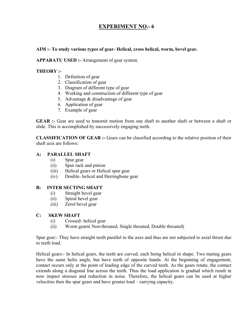# **EXPERIMENT NO.- 6**

#### **AIM :- To study various types of gear- Helical, cross helical, worm, bevel gear.**

#### **APPARATU USED :-** Arrangement of gear system.

#### **THEORY :-**

- 1. Definition of gear
- 2. Classification of gear
- 3. Diagram of different type of gear
- 4. Working and construction of different type of gear
- 5. Advantage & disadvantage of gear
- 6. Application of gear
- 7. Example of gear

**GEAR :-** Gear are used to transmit motion from one shaft to another shaft or between a shaft or slide. This is accomplished by successively engaging teeth.

**CLASSIFICATION OF GEAR :-** Gears can be classified according to the relative position of their shaft axis are follows:

#### **A: PARALLEL SHAFT**

- (i) Spur gear
- (ii) Spur rack and pinion
- (iii) Helical gears or Helical spur gear
- (iv) Double- helical and Herringbone gear

#### **B: INTER SECTING SHAFT**

- (i) Straight bevel gear
- (ii) Spiral bevel gear
- (iii) Zerol bevel gear

#### **C: SKEW SHAFT**

- (i) Crossed- helical gear
- (ii) Worm gears( Non-throated, Single throated, Double throated)

Spur gear:- They have straight teeth parallel to the axes and thus are not subjected to axial thrust due to teeth load.

Helical gears:- In helical gears, the teeth are curved, each being helical in shape. Two mating gears have the same helix angle, but have teeth of opposite hands. At the beginning of engagement, contact occurs only at the point of leading edge of the curved teeth. As the gears rotate, the contact extends along a diagonal line across the teeth. Thus the load application is gradual which result in now impact stresses and reduction in noise. Therefore, the helical gears can be used at higher velocities then the spur gears and have greater load – carrying capacity.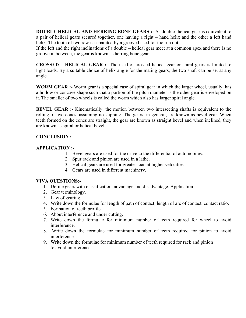**DOUBLE HELICAL AND HERRING BONE GEARS :- A- double- helical gear is equivalent to** a pair of helical gears secured together, one having a right – hand helix and the other a left hand helix. The tooth of two raw is separated by a grooved used for too run out.

If the left and the right inclinations of a double – helical gear meet at a common apex and there is no groove in between, the gear is known as herring bone gear.

**CROSSED – HELICAL GEAR :-** The used of crossed helical gear or spiral gears is limited to light loads. By a suitable choice of helix angle for the mating gears, the two shaft can be set at any angle.

**WORM GEAR :-** Worm gear is a special case of spiral gear in which the larger wheel, usually, has a hollow or concave shape such that a portion of the pitch diameter is the other gear is enveloped on it. The smaller of two wheels is called the worm which also has larger spiral angle.

**BEVEL GEAR :-** Kinematically, the motion between two intersecting shafts is equivalent to the rolling of two cones, assuming no slipping. The gears, in general, are known as bevel gear. When teeth formed on the cones are straight, the gear are known as straight bevel and when inclined, they are known as spiral or helical bevel.

#### **CONCLUSION :-**

#### **APPLICATION :-**

- 1. Bevel gears are used for the drive to the differential of automobiles.
- 2. Spur rack and pinion are used in a lathe.
- 3. Helical gears are used for greater load at higher velocities.
- 4. Gears are used in different machinery.

- 1. Define gears with classification, advantage and disadvantage. Application.
- 2. Gear terminology.
- 3. Law of gearing.
- 4. Write down the formulae for length of path of contact, length of arc of contact, contact ratio.
- 5. Formation of teeth profile.
- 6. About interference and under cutting.
- 7. Write down the formulae for minimum number of teeth required for wheel to avoid interference.
- 8. Write down the formulae for minimum number of teeth required for pinion to avoid interference.
- 9. Write down the formulae for minimum number of teeth required for rack and pinion to avoid interference.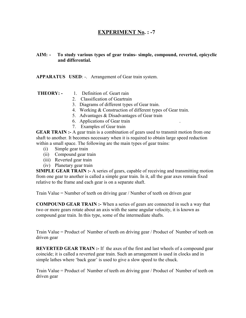# **EXPERIMENT No. : -7**

#### **AIM: - To study various types of gear trains- simple, compound, reverted, epicyclic and differential.**

#### **APPARATUS USED**: -. Arrangement of Gear train system.

- **THEORY:** 1. Definition of. Geart rain
	- 2. Classification of Geartrain
	- 3. Diagrams of different types of Gear train.
	- 4. Working & Construction of different types of Gear train.
	- 5. Advantages & Disadvantages of Gear train
	- 6. Applications of Gear train .
	- 7. Examples of Gear train

**GEAR TRAIN :-** A gear train is a combination of gears used to transmit motion from one shaft to another. It becomes necessary when it is required to obtain large speed reduction within a small space. The following are the main types of gear trains:

- (i) Simple gear train
- (ii) Compound gear train
- (iii) Reverted gear train
- (iv) Planetary gear train

**SIMPLE GEAR TRAIN :-** A series of gears, capable of receiving and transmitting motion from one gear to another is called a simple gear train. In it, all the gear axes remain fixed relative to the frame and each gear is on a separate shaft.

Train Value = Number of teeth on driving gear / Number of teeth on driven gear

**COMPOUND GEAR TRAIN :-** When a series of gears are connected in such a way that two or more gears rotate about an axis with the same angular velocity, it is known as compound gear train. In this type, some of the intermediate shafts.

Train Value = Product of Number of teeth on driving gear / Product of Number of teeth on driven gear

**REVERTED GEAR TRAIN :-** If the axes of the first and last wheels of a compound gear coincide; it is called a reverted gear train. Such an arrangement is used in clocks and in simple lathes where 'back gear' is used to give a slow speed to the chuck.

Train Value = Product of Number of teeth on driving gear / Product of Number of teeth on driven gear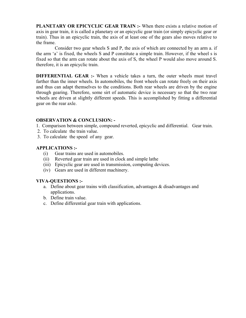**PLANETARY OR EPICYCLIC GEAR TRAIN :-** When there exists a relative motion of axis in gear train, it is called a planetary or an epicyclic gear train (or simply epicyclic gear or train). Thus in an epicyclic train, the axis of at least one of the gears also moves relative to the frame.

 Consider two gear wheels S and P, the axis of which are connected by an arm a. if the arm 'a' is fixed, the wheels S and P constitute a simple train. However, if the wheel s is fixed so that the arm can rotate about the axis of S, the wheel P would also move around S. therefore, it is an epicyclic train.

**DIFFERENTIAL GEAR :-** When a vehicle takes a turn, the outer wheels must travel farther than the inner wheels. In automobiles, the front wheels can rotate freely on their axis and thus can adapt themselves to the conditions. Both rear wheels are driven by the engine through gearing. Therefore, some sirt of automatic device is necessary so that the two rear wheels are driven at slightly different speeds. This is accomplished by fitting a differential gear on the rear axle.

#### **OBSERVATION & CONCLUSION: -**

- 1. Comparison between simple, compound reverted, epicyclic and differential. Gear train.
- 2. To calculate the train value.
- 3. To calculate the speed of any gear.

#### **APPLICATIONS :-**

- (i) Gear trains are used in automobiles.
- (ii) Reverted gear train are used in clock and simple lathe
- (iii) Epicyclic gear are used in transmission, computing devices.
- (iv) Gears are used in different machinery.

- a. Define about gear trains with classification, advantages & disadvantages and applications.
- b. Define train value.
- c. Define differential gear train with applications.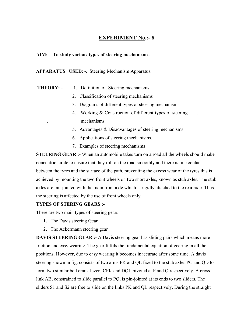# **EXPERIMENT No.:- 8**

#### **AIM: - To study various types of steering mechanisms.**

**APPARATUS USED**: -. Steering Mechanism Apparatus.

- **THEORY:** 1. Definition of. Steering mechanisms
	- 2. Classification of steering mechanisms
	- 3. Diagrams of different types of steering mechanisms
	- 4. Working & Construction of different types of steering . mechanisms.
	- 5. Advantages & Disadvantages of steering mechanisms
	- 6. Applications of steering mechanisms.
	- 7. Examples of steering mechanisms

**STEERING GEAR :-** When an automobile takes turn on a road all the wheels should make concentric circle to ensure that they roll on the road smoothly and there is line contact between the tyres and the surface of the path, preventing the excess wear of the tyres.this is achieved by mounting the two front wheels on two short axles, known as stub axles. The stub axles are pin-jointed with the main front axle which is rigidly attached to the rear axle. Thus the steering is affected by the use of front wheels only.

#### **TYPES OF STERING GEARS :-**

There are two main types of steering gears :

- **1.** The Davis steering Gear
- **2.** The Ackermann steering gear

**DAVIS STEERING GEAR :-** A Davis steering gear has sliding pairs which means more friction and easy wearing. The gear fulfils the fundamental equation of gearing in all the positions. However, due to easy wearing it becomes inaccurate after some time. A davis steering shown in fig. consists of two arms PK and QL fixed to the stub axles PC and QD to form two similar bell crank levers CPK and DQL pivoted at P and Q respectively. A cross link AB, constrained to slide parallel to PQ, is pin-jointed at its ends to two sliders. The sliders S1 and S2 are free to slide on the links PK and QL respectively. During the straight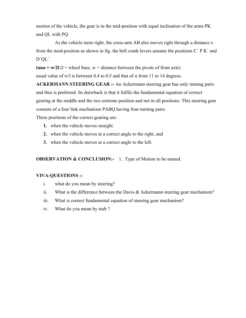motion of the vehicle, the gear is in the mid-position with equal inclination of the arms PK and QL with PQ.

 As the vehicle turns right, the cross-arm AB also moves right through a distance x from the mod-position as shown in fig. the bell crank levers assume the positions C´ P K´ and D´QL´.

**tan** $\alpha$  = w/2l (1 = wheel base, w = distance between the pivots of front axle) usual value of w/l is between 0.4 to 0.5 and that of  $\alpha$  from 11 to 14 degrees.

**ACKERMANN STEERING GEAR :-** An Ackermann steering gear has only turning pairs and thus is preferred. Its drawback is that it fulfils the fundamental equation of correct gearing at the middle and the two extreme position and not in all positions. This steering gear consists of a four link mechanism PABQ having four-turning pairs.

Three positions of the correct gearing are-

- **1.** when the vehicle moves straight.
- **2.** when the vehicle moves at a correct angle to the right, and
- **3.** when the vehicle moves at a correct angle to the left.

**OBSERVATION & CONCLUSION:-** 1. Type of Motion to be named.

- i. what do you mean by steering?
- ii. What is the difference between the Davis  $&$  Ackermann steering gear mechanism?
- iii. What is correct fundamental equation of steering gear mechanism?
- iv. What do you mean by stub ?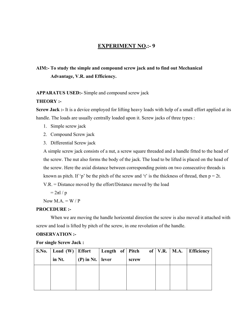## **EXPERIMENT NO.:-9**

# **AIM:- To study the simple and compound screw jack and to find out Mechanical Advantage, V.R. and Efficiency.**

#### **APPARATUS USED:-** Simple and compound screw jack

#### **THEORY :-**

**Screw Jack :-** It is a device employed for lifting heavy loads with help of a small effort applied at its handle. The loads are usually centrally loaded upon it. Screw jacks of three types :

- 1. Simple screw jack
- 2. Compound Screw jack
- 3. Differential Screw jack

A simple screw jack consists of a nut, a screw square threaded and a handle fitted to the head of the screw. The nut also forms the body of the jack. The load to be lifted is placed on the head of the screw. Here the axial distance between corresponding points on two consecutive threads is known as pitch. If 'p' be the pitch of the screw and 't' is the thickness of thread, then  $p = 2t$ . V.R. = Distance moved by the effort/Distance moved by the load

 $= 2\pi l / p$ 

Now  $M.A. = W / P$ 

#### **PROCEDURE :-**

When we are moving the handle horizontal direction the screw is also moved it attached with screw and load is lifted by pitch of the screw, in one revolution of the handle.

#### **OBSERVATION :-**

**For single Screw Jack :** 

|        |                    | S.No.   Load (W)   Effort   Length of   Pitch of   V.R.   M.A. |  | <b>Efficiency</b> |
|--------|--------------------|----------------------------------------------------------------|--|-------------------|
| in Nt. | (P) in Nt.   lever | screw                                                          |  |                   |
|        |                    |                                                                |  |                   |
|        |                    |                                                                |  |                   |
|        |                    |                                                                |  |                   |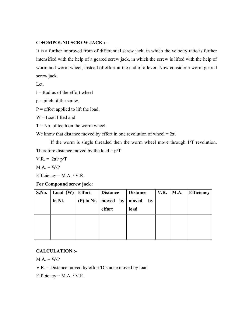#### **C-+OMPOUND SCREW JACK :-**

It is a further improved from of differential screw jack, in which the velocity ratio is further intensified with the help of a geared screw jack, in which the screw is lifted with the help of worm and worm wheel, instead of effort at the end of a lever. Now consider a worm geared screw jack.

Let,

 $l =$ Radius of the effort wheel

 $p =$  pitch of the screw,

 $P =$  effort applied to lift the load,

 $W =$  Load lifted and

 $T = No$ . of teeth on the worm wheel.

We know that distance moved by effort in one revolution of wheel =  $2\pi$ l

If the worm is single threaded then the worm wheel move through 1/T revolution. Therefore distance moved by the load  $= p/T$ 

V.R. =  $2πl/p/T$ 

 $M.A. = W/P$ 

Efficiency =  $M.A. / V.R.$ 

**For Compound screw jack :** 

| S.No. | Load $(W)$ | <b>Effort</b> | <b>Distance</b>               | <b>Distance</b> | <b>V.R.</b>   <b>M.A.</b> | <b>Efficiency</b> |
|-------|------------|---------------|-------------------------------|-----------------|---------------------------|-------------------|
|       | in Nt.     |               | (P) in Nt.   moved by $\vert$ | moved<br>by     |                           |                   |
|       |            |               | effort                        | load            |                           |                   |
|       |            |               |                               |                 |                           |                   |
|       |            |               |                               |                 |                           |                   |
|       |            |               |                               |                 |                           |                   |

## **CALCULATION :-**

 $M.A. = W/P$ 

V.R. = Distance moved by effort/Distance moved by load

Efficiency =  $M.A. / V.R.$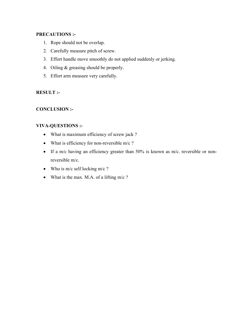#### **PRECAUTIONS :-**

- 1. Rope should not be overlap.
- 2. Carefully measure pitch of screw.
- 3. Effort handle move smoothly do not applied suddenly or jerking.
- 4. Oiling & greasing should be properly.
- 5. Effort arm measure very carefully.

#### **RESULT :-**

#### **CONCLUSION :-**

- What is maximum efficiency of screw jack ?
- What is efficiency for non-reversible m/c ?
- If a m/c having an efficiency greater than 50% is known as m/c. reversible or nonreversible m/c.
- Who is m/c self locking m/c ?
- What is the max. M.A. of a lifting  $m/c$  ?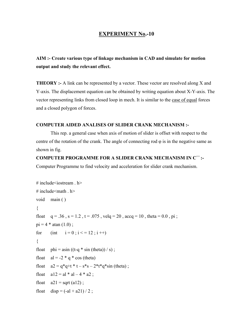### **EXPERIMENT No.-10**

**AIM :- Create various type of linkage mechanism in CAD and simulate for motion output and study the relevant effect.** 

**THEORY** :- A link can be represented by a vector. These vector are resolved along X and Y-axis. The displacement equation can be obtained by writing equation about X-Y-axis. The vector representing links from closed loop in mech. It is similar to the case of equal forces and a closed polygon of forces.

#### **COMPUTER AIDED ANALISES OF SLIDER CRANK MECHANISM :-**

This rep. a general case when axis of motion of slider is offset with respect to the centre of the rotation of the crank. The angle of connecting rod  $\varphi$  is in the negative same as shown in fig.

**COMPUTER PROGRAMME FOR A SLIDER CRANK MECHANISM IN C**++ **:-**  Computer Programme to find velocity and acceleration for slider crank mechanism.

```
# include \leqiostream . h ># include\leqmath . h>
void main ( ) 
{ 
float q = .36, s = 1.2, t = .075, velq = 20, accq = 10, theta = 0.0, pi;
pi = 4 * \text{atan} (1.0);
for (int i = 0; i < 12; i +1)
{ 
float phi = a\sin((t-q * sin (theta))) / s);
float al = -2 * q * cos (theta)float a2 = q^*q + t^*t - s^*s - 2^*t^*q^*sin (theta);
float a12 = a1 * a1 - 4 * a2;
float a21 = sqrt(a12);
float \text{disp} = (-\text{al} + \text{a}21)/2;
```